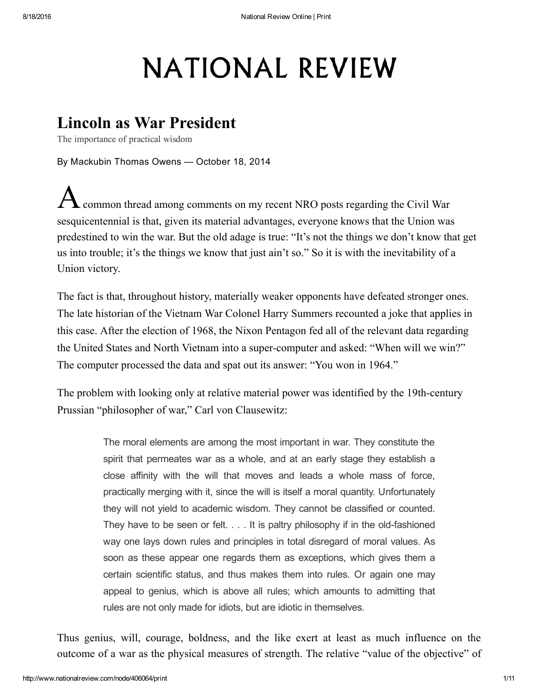# **NATIONAL REVIEW**

# Lincoln as War President

The importance of practical wisdom

By Mackubin Thomas Owens — October 18, 2014

common thread among comments on my recent NRO posts regarding the Civil War sesquicentennial is that, given its material advantages, everyone knows that the Union was predestined to win the war. But the old adage is true: "It's not the things we don't know that get us into trouble; it's the things we know that just ain't so." So it is with the inevitability of a Union victory.

The fact is that, throughout history, materially weaker opponents have defeated stronger ones. The late historian of the Vietnam War Colonel Harry Summers recounted a joke that applies in this case. After the election of 1968, the Nixon Pentagon fed all of the relevant data regarding the United States and North Vietnam into a super-computer and asked: "When will we win?" The computer processed the data and spat out its answer: "You won in 1964."

The problem with looking only at relative material power was identified by the 19th-century Prussian "philosopher of war," Carl von Clausewitz:

> The moral elements are among the most important in war. They constitute the spirit that permeates war as a whole, and at an early stage they establish a close affinity with the will that moves and leads a whole mass of force, practically merging with it, since the will is itself a moral quantity. Unfortunately they will not yield to academic wisdom. They cannot be classified or counted. They have to be seen or felt.  $\ldots$  It is paltry philosophy if in the old-fashioned way one lays down rules and principles in total disregard of moral values. As soon as these appear one regards them as exceptions, which gives them a certain scientific status, and thus makes them into rules. Or again one may appeal to genius, which is above all rules; which amounts to admitting that rules are not only made for idiots, but are idiotic in themselves.

Thus genius, will, courage, boldness, and the like exert at least as much influence on the outcome of a war as the physical measures of strength. The relative "value of the objective" of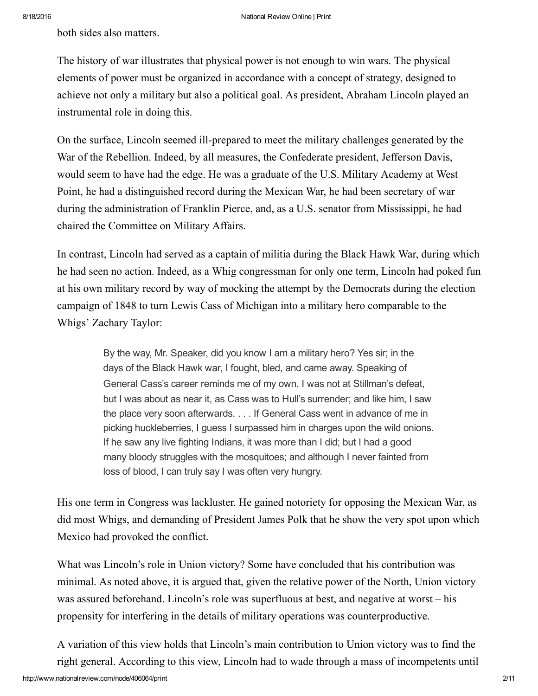both sides also matters.

The history of war illustrates that physical power is not enough to win wars. The physical elements of power must be organized in accordance with a concept of strategy, designed to achieve not only a military but also a political goal. As president, Abraham Lincoln played an instrumental role in doing this.

On the surface, Lincoln seemed ill-prepared to meet the military challenges generated by the War of the Rebellion. Indeed, by all measures, the Confederate president, Jefferson Davis, would seem to have had the edge. He was a graduate of the U.S. Military Academy at West Point, he had a distinguished record during the Mexican War, he had been secretary of war during the administration of Franklin Pierce, and, as a U.S. senator from Mississippi, he had chaired the Committee on Military Affairs.

In contrast, Lincoln had served as a captain of militia during the Black Hawk War, during which he had seen no action. Indeed, as a Whig congressman for only one term, Lincoln had poked fun at his own military record by way of mocking the attempt by the Democrats during the election campaign of 1848 to turn Lewis Cass of Michigan into a military hero comparable to the Whigs' Zachary Taylor:

> By the way, Mr. Speaker, did you know I am a military hero? Yes sir; in the days of the Black Hawk war, I fought, bled, and came away. Speaking of General Cass's career reminds me of my own. I was not at Stillman's defeat, but I was about as near it, as Cass was to Hull's surrender; and like him, I saw the place very soon afterwards. . . . If General Cass went in advance of me in picking huckleberries, I guess I surpassed him in charges upon the wild onions. If he saw any live fighting Indians, it was more than I did; but I had a good many bloody struggles with the mosquitoes; and although I never fainted from loss of blood, I can truly say I was often very hungry.

His one term in Congress was lackluster. He gained notoriety for opposing the Mexican War, as did most Whigs, and demanding of President James Polk that he show the very spot upon which Mexico had provoked the conflict.

What was Lincoln's role in Union victory? Some have concluded that his contribution was minimal. As noted above, it is argued that, given the relative power of the North, Union victory was assured beforehand. Lincoln's role was superfluous at best, and negative at worst – his propensity for interfering in the details of military operations was counterproductive.

A variation of this view holds that Lincoln's main contribution to Union victory was to find the right general. According to this view, Lincoln had to wade through a mass of incompetents until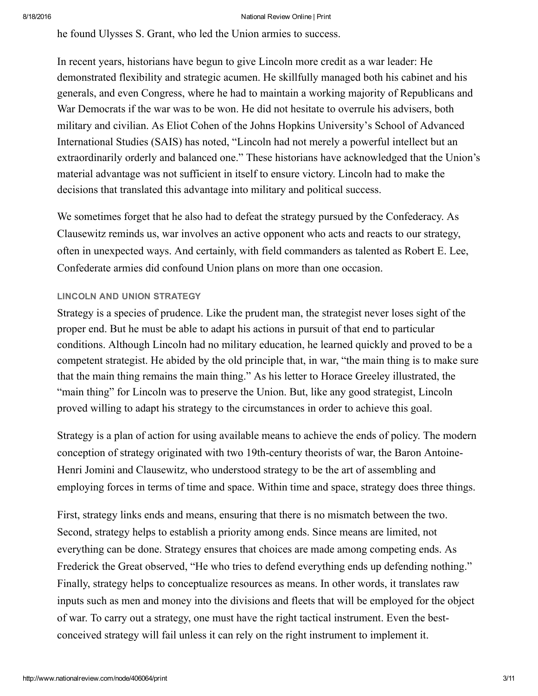he found Ulysses S. Grant, who led the Union armies to success.

In recent years, historians have begun to give Lincoln more credit as a war leader: He demonstrated flexibility and strategic acumen. He skillfully managed both his cabinet and his generals, and even Congress, where he had to maintain a working majority of Republicans and War Democrats if the war was to be won. He did not hesitate to overrule his advisers, both military and civilian. As Eliot Cohen of the Johns Hopkins University's School of Advanced International Studies (SAIS) has noted, "Lincoln had not merely a powerful intellect but an extraordinarily orderly and balanced one." These historians have acknowledged that the Union's material advantage was not sufficient in itself to ensure victory. Lincoln had to make the decisions that translated this advantage into military and political success.

We sometimes forget that he also had to defeat the strategy pursued by the Confederacy. As Clausewitz reminds us, war involves an active opponent who acts and reacts to our strategy, often in unexpected ways. And certainly, with field commanders as talented as Robert E. Lee, Confederate armies did confound Union plans on more than one occasion.

## LINCOLN AND UNION STRATEGY

Strategy is a species of prudence. Like the prudent man, the strategist never loses sight of the proper end. But he must be able to adapt his actions in pursuit of that end to particular conditions. Although Lincoln had no military education, he learned quickly and proved to be a competent strategist. He abided by the old principle that, in war, "the main thing is to make sure that the main thing remains the main thing." As his letter to Horace Greeley illustrated, the "main thing" for Lincoln was to preserve the Union. But, like any good strategist, Lincoln proved willing to adapt his strategy to the circumstances in order to achieve this goal.

Strategy is a plan of action for using available means to achieve the ends of policy. The modern conception of strategy originated with two 19th-century theorists of war, the Baron Antoine-Henri Jomini and Clausewitz, who understood strategy to be the art of assembling and employing forces in terms of time and space. Within time and space, strategy does three things.

First, strategy links ends and means, ensuring that there is no mismatch between the two. Second, strategy helps to establish a priority among ends. Since means are limited, not everything can be done. Strategy ensures that choices are made among competing ends. As Frederick the Great observed, "He who tries to defend everything ends up defending nothing." Finally, strategy helps to conceptualize resources as means. In other words, it translates raw inputs such as men and money into the divisions and fleets that will be employed for the object of war. To carry out a strategy, one must have the right tactical instrument. Even the bestconceived strategy will fail unless it can rely on the right instrument to implement it.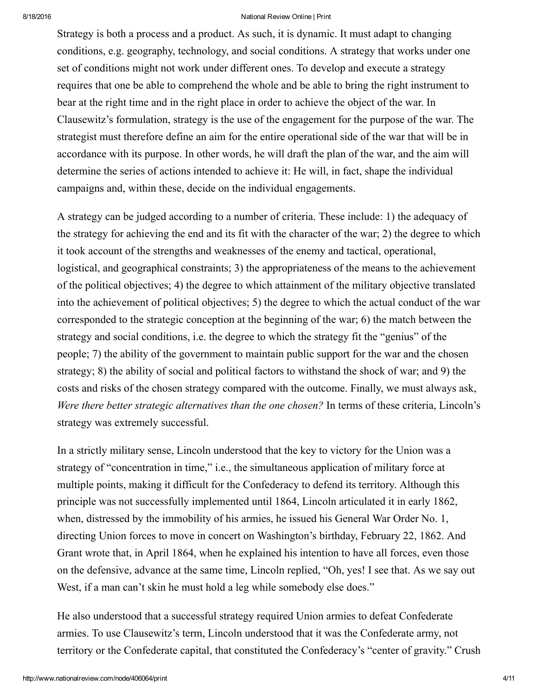Strategy is both a process and a product. As such, it is dynamic. It must adapt to changing conditions, e.g. geography, technology, and social conditions. A strategy that works under one set of conditions might not work under different ones. To develop and execute a strategy requires that one be able to comprehend the whole and be able to bring the right instrument to bear at the right time and in the right place in order to achieve the object of the war. In Clausewitz's formulation, strategy is the use of the engagement for the purpose of the war. The strategist must therefore define an aim for the entire operational side of the war that will be in accordance with its purpose. In other words, he will draft the plan of the war, and the aim will determine the series of actions intended to achieve it: He will, in fact, shape the individual campaigns and, within these, decide on the individual engagements.

A strategy can be judged according to a number of criteria. These include: 1) the adequacy of the strategy for achieving the end and its fit with the character of the war; 2) the degree to which it took account of the strengths and weaknesses of the enemy and tactical, operational, logistical, and geographical constraints; 3) the appropriateness of the means to the achievement of the political objectives; 4) the degree to which attainment of the military objective translated into the achievement of political objectives; 5) the degree to which the actual conduct of the war corresponded to the strategic conception at the beginning of the war; 6) the match between the strategy and social conditions, i.e. the degree to which the strategy fit the "genius" of the people; 7) the ability of the government to maintain public support for the war and the chosen strategy; 8) the ability of social and political factors to withstand the shock of war; and 9) the costs and risks of the chosen strategy compared with the outcome. Finally, we must always ask, Were there better strategic alternatives than the one chosen? In terms of these criteria, Lincoln's strategy was extremely successful.

In a strictly military sense, Lincoln understood that the key to victory for the Union was a strategy of "concentration in time," i.e., the simultaneous application of military force at multiple points, making it difficult for the Confederacy to defend its territory. Although this principle was not successfully implemented until 1864, Lincoln articulated it in early 1862, when, distressed by the immobility of his armies, he issued his General War Order No. 1, directing Union forces to move in concert on Washington's birthday, February 22, 1862. And Grant wrote that, in April 1864, when he explained his intention to have all forces, even those on the defensive, advance at the same time, Lincoln replied, "Oh, yes! I see that. As we say out West, if a man can't skin he must hold a leg while somebody else does."

He also understood that a successful strategy required Union armies to defeat Confederate armies. To use Clausewitz's term, Lincoln understood that it was the Confederate army, not territory or the Confederate capital, that constituted the Confederacy's "center of gravity." Crush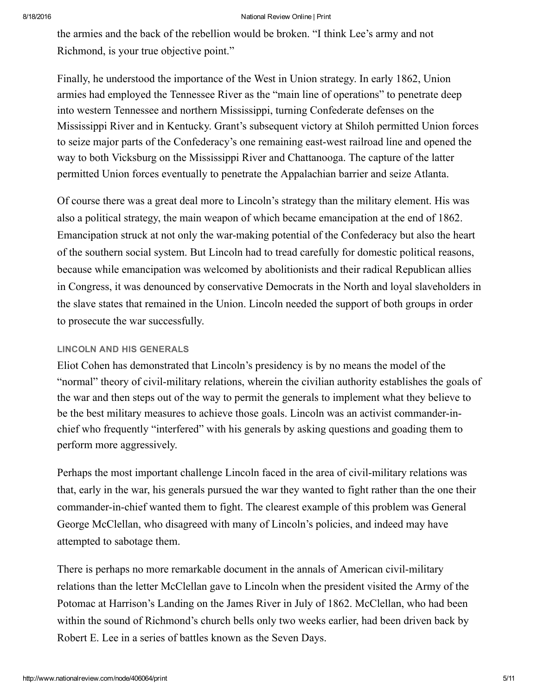the armies and the back of the rebellion would be broken. "I think Lee's army and not Richmond, is your true objective point."

Finally, he understood the importance of the West in Union strategy. In early 1862, Union armies had employed the Tennessee River as the "main line of operations" to penetrate deep into western Tennessee and northern Mississippi, turning Confederate defenses on the Mississippi River and in Kentucky. Grant's subsequent victory at Shiloh permitted Union forces to seize major parts of the Confederacy's one remaining east-west railroad line and opened the way to both Vicksburg on the Mississippi River and Chattanooga. The capture of the latter permitted Union forces eventually to penetrate the Appalachian barrier and seize Atlanta.

Of course there was a great deal more to Lincoln's strategy than the military element. His was also a political strategy, the main weapon of which became emancipation at the end of 1862. Emancipation struck at not only the war-making potential of the Confederacy but also the heart of the southern social system. But Lincoln had to tread carefully for domestic political reasons, because while emancipation was welcomed by abolitionists and their radical Republican allies in Congress, it was denounced by conservative Democrats in the North and loyal slaveholders in the slave states that remained in the Union. Lincoln needed the support of both groups in order to prosecute the war successfully.

### LINCOLN AND HIS GENERALS

Eliot Cohen has demonstrated that Lincoln's presidency is by no means the model of the "normal" theory of civil-military relations, wherein the civilian authority establishes the goals of the war and then steps out of the way to permit the generals to implement what they believe to be the best military measures to achieve those goals. Lincoln was an activist commander-inchief who frequently "interfered" with his generals by asking questions and goading them to perform more aggressively.

Perhaps the most important challenge Lincoln faced in the area of civil-military relations was that, early in the war, his generals pursued the war they wanted to fight rather than the one their commander-in-chief wanted them to fight. The clearest example of this problem was General George McClellan, who disagreed with many of Lincoln's policies, and indeed may have attempted to sabotage them.

There is perhaps no more remarkable document in the annals of American civil-military relations than the letter McClellan gave to Lincoln when the president visited the Army of the Potomac at Harrison's Landing on the James River in July of 1862. McClellan, who had been within the sound of Richmond's church bells only two weeks earlier, had been driven back by Robert E. Lee in a series of battles known as the Seven Days.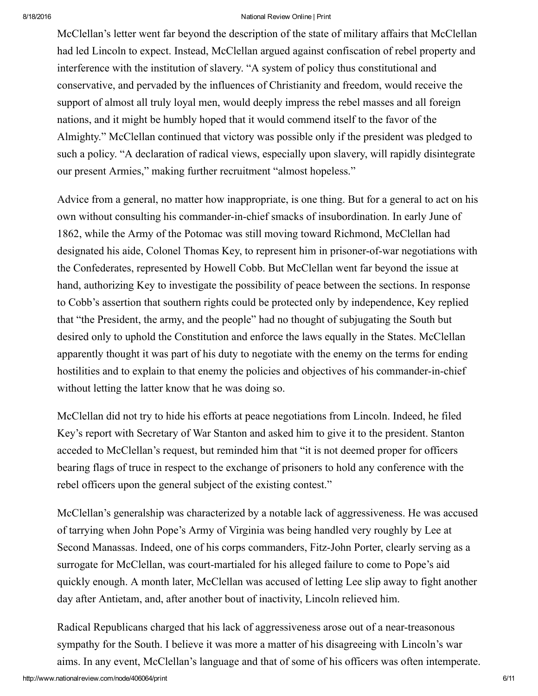McClellan's letter went far beyond the description of the state of military affairs that McClellan had led Lincoln to expect. Instead, McClellan argued against confiscation of rebel property and interference with the institution of slavery. "A system of policy thus constitutional and conservative, and pervaded by the influences of Christianity and freedom, would receive the support of almost all truly loyal men, would deeply impress the rebel masses and all foreign nations, and it might be humbly hoped that it would commend itself to the favor of the Almighty." McClellan continued that victory was possible only if the president was pledged to such a policy. "A declaration of radical views, especially upon slavery, will rapidly disintegrate our present Armies," making further recruitment "almost hopeless."

Advice from a general, no matter how inappropriate, is one thing. But for a general to act on his own without consulting his commander-in-chief smacks of insubordination. In early June of 1862, while the Army of the Potomac was still moving toward Richmond, McClellan had designated his aide, Colonel Thomas Key, to represent him in prisoner-of-war negotiations with the Confederates, represented by Howell Cobb. But McClellan went far beyond the issue at hand, authorizing Key to investigate the possibility of peace between the sections. In response to Cobb's assertion that southern rights could be protected only by independence, Key replied that "the President, the army, and the people" had no thought of subjugating the South but desired only to uphold the Constitution and enforce the laws equally in the States. McClellan apparently thought it was part of his duty to negotiate with the enemy on the terms for ending hostilities and to explain to that enemy the policies and objectives of his commander-in-chief without letting the latter know that he was doing so.

McClellan did not try to hide his efforts at peace negotiations from Lincoln. Indeed, he filed Key's report with Secretary of War Stanton and asked him to give it to the president. Stanton acceded to McClellan's request, but reminded him that "it is not deemed proper for officers bearing flags of truce in respect to the exchange of prisoners to hold any conference with the rebel officers upon the general subject of the existing contest."

McClellan's generalship was characterized by a notable lack of aggressiveness. He was accused of tarrying when John Pope's Army of Virginia was being handled very roughly by Lee at Second Manassas. Indeed, one of his corps commanders, Fitz-John Porter, clearly serving as a surrogate for McClellan, was court-martialed for his alleged failure to come to Pope's aid quickly enough. A month later, McClellan was accused of letting Lee slip away to fight another day after Antietam, and, after another bout of inactivity, Lincoln relieved him.

Radical Republicans charged that his lack of aggressiveness arose out of a near-treasonous sympathy for the South. I believe it was more a matter of his disagreeing with Lincoln's war aims. In any event, McClellan's language and that of some of his officers was often intemperate.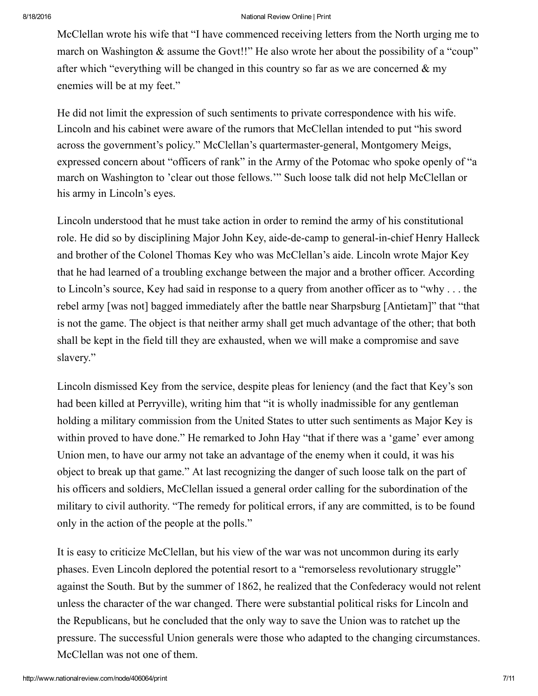McClellan wrote his wife that "I have commenced receiving letters from the North urging me to march on Washington & assume the Govt!!" He also wrote her about the possibility of a "coup" after which "everything will be changed in this country so far as we are concerned  $\&$  my enemies will be at my feet."

He did not limit the expression of such sentiments to private correspondence with his wife. Lincoln and his cabinet were aware of the rumors that McClellan intended to put "his sword across the government's policy." McClellan's quartermaster-general, Montgomery Meigs, expressed concern about "officers of rank" in the Army of the Potomac who spoke openly of "a march on Washington to 'clear out those fellows.'" Such loose talk did not help McClellan or his army in Lincoln's eyes.

Lincoln understood that he must take action in order to remind the army of his constitutional role. He did so by disciplining Major John Key, aide-de-camp to general-in-chief Henry Halleck and brother of the Colonel Thomas Key who was McClellan's aide. Lincoln wrote Major Key that he had learned of a troubling exchange between the major and a brother officer. According to Lincoln's source, Key had said in response to a query from another officer as to "why . . . the rebel army [was not] bagged immediately after the battle near Sharpsburg [Antietam]" that "that is not the game. The object is that neither army shall get much advantage of the other; that both shall be kept in the field till they are exhausted, when we will make a compromise and save slavery."

Lincoln dismissed Key from the service, despite pleas for leniency (and the fact that Key's son had been killed at Perryville), writing him that "it is wholly inadmissible for any gentleman holding a military commission from the United States to utter such sentiments as Major Key is within proved to have done." He remarked to John Hay "that if there was a 'game' ever among Union men, to have our army not take an advantage of the enemy when it could, it was his object to break up that game." At last recognizing the danger of such loose talk on the part of his officers and soldiers, McClellan issued a general order calling for the subordination of the military to civil authority. "The remedy for political errors, if any are committed, is to be found only in the action of the people at the polls."

It is easy to criticize McClellan, but his view of the war was not uncommon during its early phases. Even Lincoln deplored the potential resort to a "remorseless revolutionary struggle" against the South. But by the summer of 1862, he realized that the Confederacy would not relent unless the character of the war changed. There were substantial political risks for Lincoln and the Republicans, but he concluded that the only way to save the Union was to ratchet up the pressure. The successful Union generals were those who adapted to the changing circumstances. McClellan was not one of them.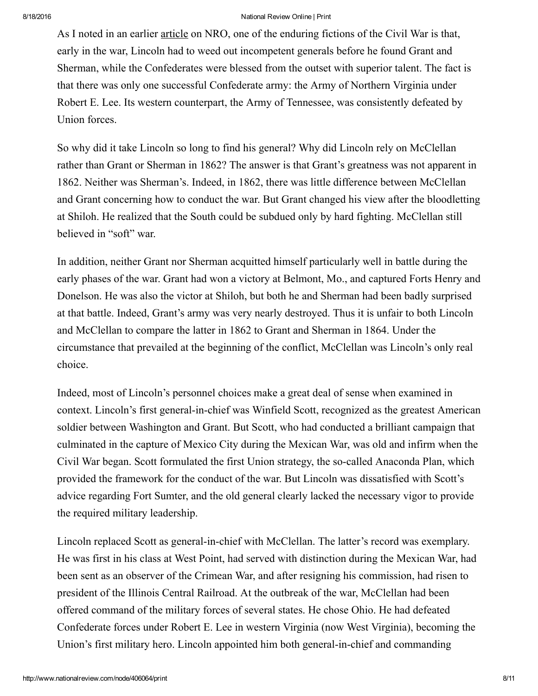As I noted in an earlier [article](http://www.nationalreview.com/article/388383/defense-grant-and-lee-mackubin-thomas-owens) on NRO, one of the enduring fictions of the Civil War is that, early in the war, Lincoln had to weed out incompetent generals before he found Grant and Sherman, while the Confederates were blessed from the outset with superior talent. The fact is that there was only one successful Confederate army: the Army of Northern Virginia under Robert E. Lee. Its western counterpart, the Army of Tennessee, was consistently defeated by Union forces.

So why did it take Lincoln so long to find his general? Why did Lincoln rely on McClellan rather than Grant or Sherman in 1862? The answer is that Grant's greatness was not apparent in 1862. Neither was Sherman's. Indeed, in 1862, there was little difference between McClellan and Grant concerning how to conduct the war. But Grant changed his view after the bloodletting at Shiloh. He realized that the South could be subdued only by hard fighting. McClellan still believed in "soft" war.

In addition, neither Grant nor Sherman acquitted himself particularly well in battle during the early phases of the war. Grant had won a victory at Belmont, Mo., and captured Forts Henry and Donelson. He was also the victor at Shiloh, but both he and Sherman had been badly surprised at that battle. Indeed, Grant's army was very nearly destroyed. Thus it is unfair to both Lincoln and McClellan to compare the latter in 1862 to Grant and Sherman in 1864. Under the circumstance that prevailed at the beginning of the conflict, McClellan was Lincoln's only real choice.

Indeed, most of Lincoln's personnel choices make a great deal of sense when examined in context. Lincoln's first general-in-chief was Winfield Scott, recognized as the greatest American soldier between Washington and Grant. But Scott, who had conducted a brilliant campaign that culminated in the capture of Mexico City during the Mexican War, was old and infirm when the Civil War began. Scott formulated the first Union strategy, the so-called Anaconda Plan, which provided the framework for the conduct of the war. But Lincoln was dissatisfied with Scott's advice regarding Fort Sumter, and the old general clearly lacked the necessary vigor to provide the required military leadership.

Lincoln replaced Scott as general-in-chief with McClellan. The latter's record was exemplary. He was first in his class at West Point, had served with distinction during the Mexican War, had been sent as an observer of the Crimean War, and after resigning his commission, had risen to president of the Illinois Central Railroad. At the outbreak of the war, McClellan had been offered command of the military forces of several states. He chose Ohio. He had defeated Confederate forces under Robert E. Lee in western Virginia (now West Virginia), becoming the Union's first military hero. Lincoln appointed him both general-in-chief and commanding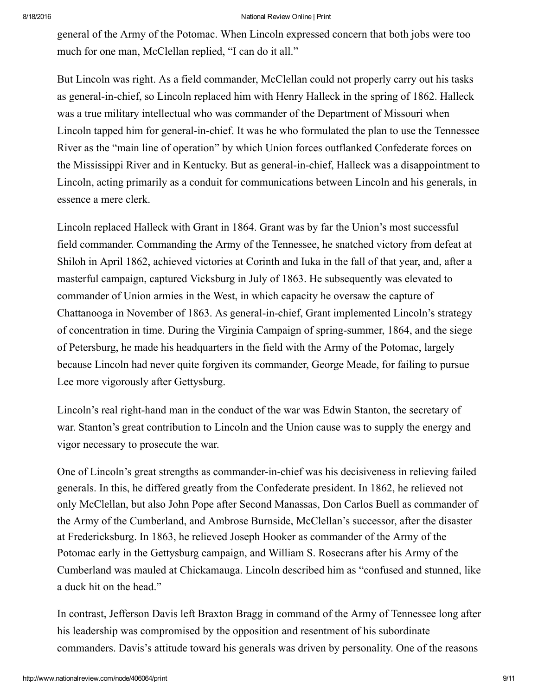general of the Army of the Potomac. When Lincoln expressed concern that both jobs were too much for one man, McClellan replied, "I can do it all."

But Lincoln was right. As a field commander, McClellan could not properly carry out his tasks as general-in-chief, so Lincoln replaced him with Henry Halleck in the spring of 1862. Halleck was a true military intellectual who was commander of the Department of Missouri when Lincoln tapped him for general-in-chief. It was he who formulated the plan to use the Tennessee River as the "main line of operation" by which Union forces outflanked Confederate forces on the Mississippi River and in Kentucky. But as general-in-chief, Halleck was a disappointment to Lincoln, acting primarily as a conduit for communications between Lincoln and his generals, in essence a mere clerk.

Lincoln replaced Halleck with Grant in 1864. Grant was by far the Union's most successful field commander. Commanding the Army of the Tennessee, he snatched victory from defeat at Shiloh in April 1862, achieved victories at Corinth and Iuka in the fall of that year, and, after a masterful campaign, captured Vicksburg in July of 1863. He subsequently was elevated to commander of Union armies in the West, in which capacity he oversaw the capture of Chattanooga in November of 1863. As general-in-chief, Grant implemented Lincoln's strategy of concentration in time. During the Virginia Campaign of spring-summer, 1864, and the siege of Petersburg, he made his headquarters in the field with the Army of the Potomac, largely because Lincoln had never quite forgiven its commander, George Meade, for failing to pursue Lee more vigorously after Gettysburg.

Lincoln's real right-hand man in the conduct of the war was Edwin Stanton, the secretary of war. Stanton's great contribution to Lincoln and the Union cause was to supply the energy and vigor necessary to prosecute the war.

One of Lincoln's great strengths as commander-in-chief was his decisiveness in relieving failed generals. In this, he differed greatly from the Confederate president. In 1862, he relieved not only McClellan, but also John Pope after Second Manassas, Don Carlos Buell as commander of the Army of the Cumberland, and Ambrose Burnside, McClellan's successor, after the disaster at Fredericksburg. In 1863, he relieved Joseph Hooker as commander of the Army of the Potomac early in the Gettysburg campaign, and William S. Rosecrans after his Army of the Cumberland was mauled at Chickamauga. Lincoln described him as "confused and stunned, like a duck hit on the head."

In contrast, Jefferson Davis left Braxton Bragg in command of the Army of Tennessee long after his leadership was compromised by the opposition and resentment of his subordinate commanders. Davis's attitude toward his generals was driven by personality. One of the reasons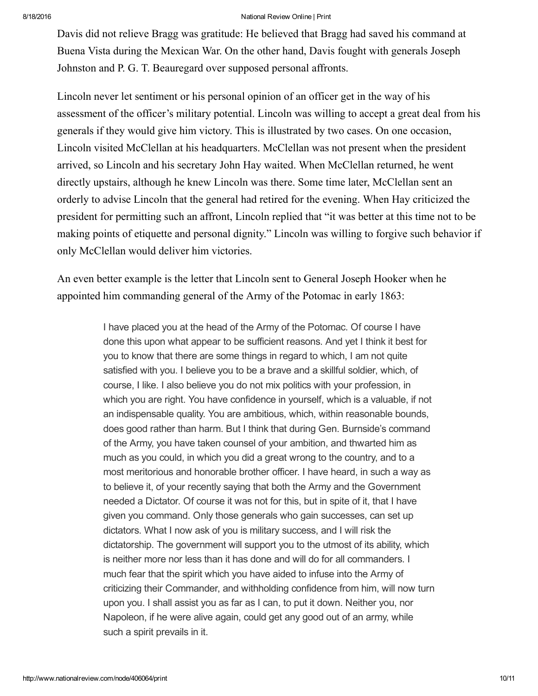Davis did not relieve Bragg was gratitude: He believed that Bragg had saved his command at Buena Vista during the Mexican War. On the other hand, Davis fought with generals Joseph Johnston and P. G. T. Beauregard over supposed personal affronts.

Lincoln never let sentiment or his personal opinion of an officer get in the way of his assessment of the officer's military potential. Lincoln was willing to accept a great deal from his generals if they would give him victory. This is illustrated by two cases. On one occasion, Lincoln visited McClellan at his headquarters. McClellan was not present when the president arrived, so Lincoln and his secretary John Hay waited. When McClellan returned, he went directly upstairs, although he knew Lincoln was there. Some time later, McClellan sent an orderly to advise Lincoln that the general had retired for the evening. When Hay criticized the president for permitting such an affront, Lincoln replied that "it was better at this time not to be making points of etiquette and personal dignity." Lincoln was willing to forgive such behavior if only McClellan would deliver him victories.

An even better example is the letter that Lincoln sent to General Joseph Hooker when he appointed him commanding general of the Army of the Potomac in early 1863:

> I have placed you at the head of the Army of the Potomac. Of course I have done this upon what appear to be sufficient reasons. And yet I think it best for you to know that there are some things in regard to which, I am not quite satisfied with you. I believe you to be a brave and a skillful soldier, which, of course, I like. I also believe you do not mix politics with your profession, in which you are right. You have confidence in yourself, which is a valuable, if not an indispensable quality. You are ambitious, which, within reasonable bounds, does good rather than harm. But I think that during Gen. Burnside's command of the Army, you have taken counsel of your ambition, and thwarted him as much as you could, in which you did a great wrong to the country, and to a most meritorious and honorable brother officer. I have heard, in such a way as to believe it, of your recently saying that both the Army and the Government needed a Dictator. Of course it was not for this, but in spite of it, that I have given you command. Only those generals who gain successes, can set up dictators. What I now ask of you is military success, and I will risk the dictatorship. The government will support you to the utmost of its ability, which is neither more nor less than it has done and will do for all commanders. I much fear that the spirit which you have aided to infuse into the Army of criticizing their Commander, and withholding confidence from him, will now turn upon you. I shall assist you as far as I can, to put it down. Neither you, nor Napoleon, if he were alive again, could get any good out of an army, while such a spirit prevails in it.